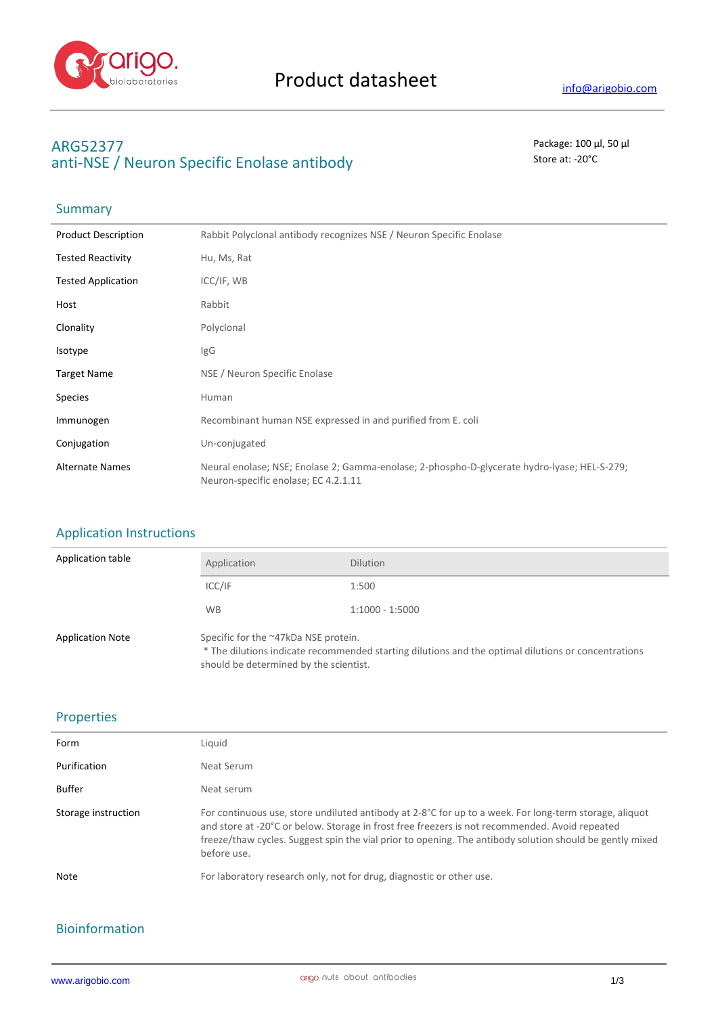

# **ARG52377** Package: 100 μl, 50 μl anti-NSE / Neuron Specific Enolase antibody store at: -20<sup>°</sup>C

# Summary

| <b>Product Description</b> | Rabbit Polyclonal antibody recognizes NSE / Neuron Specific Enolase                                                                  |
|----------------------------|--------------------------------------------------------------------------------------------------------------------------------------|
| <b>Tested Reactivity</b>   | Hu, Ms, Rat                                                                                                                          |
| <b>Tested Application</b>  | ICC/IF, WB                                                                                                                           |
| Host                       | Rabbit                                                                                                                               |
| Clonality                  | Polyclonal                                                                                                                           |
| Isotype                    | lgG                                                                                                                                  |
| <b>Target Name</b>         | NSE / Neuron Specific Enolase                                                                                                        |
| <b>Species</b>             | Human                                                                                                                                |
| Immunogen                  | Recombinant human NSE expressed in and purified from E. coli                                                                         |
| Conjugation                | Un-conjugated                                                                                                                        |
| <b>Alternate Names</b>     | Neural enolase; NSE; Enolase 2; Gamma-enolase; 2-phospho-D-glycerate hydro-lyase; HEL-S-279;<br>Neuron-specific enolase; EC 4.2.1.11 |

### Application Instructions

| Application table       | Application                                                                                                                                                                           | <b>Dilution</b>   |
|-------------------------|---------------------------------------------------------------------------------------------------------------------------------------------------------------------------------------|-------------------|
|                         | ICC/IF                                                                                                                                                                                | 1:500             |
|                         | <b>WB</b>                                                                                                                                                                             | $1:1000 - 1:5000$ |
| <b>Application Note</b> | Specific for the ~47kDa NSE protein.<br>* The dilutions indicate recommended starting dilutions and the optimal dilutions or concentrations<br>should be determined by the scientist. |                   |

### Properties

| Form                | Liguid                                                                                                                                                                                                                                                                                                                              |
|---------------------|-------------------------------------------------------------------------------------------------------------------------------------------------------------------------------------------------------------------------------------------------------------------------------------------------------------------------------------|
| Purification        | Neat Serum                                                                                                                                                                                                                                                                                                                          |
| Buffer              | Neat serum                                                                                                                                                                                                                                                                                                                          |
| Storage instruction | For continuous use, store undiluted antibody at 2-8°C for up to a week. For long-term storage, aliquot<br>and store at -20°C or below. Storage in frost free freezers is not recommended. Avoid repeated<br>freeze/thaw cycles. Suggest spin the vial prior to opening. The antibody solution should be gently mixed<br>before use. |
| Note                | For laboratory research only, not for drug, diagnostic or other use.                                                                                                                                                                                                                                                                |

## Bioinformation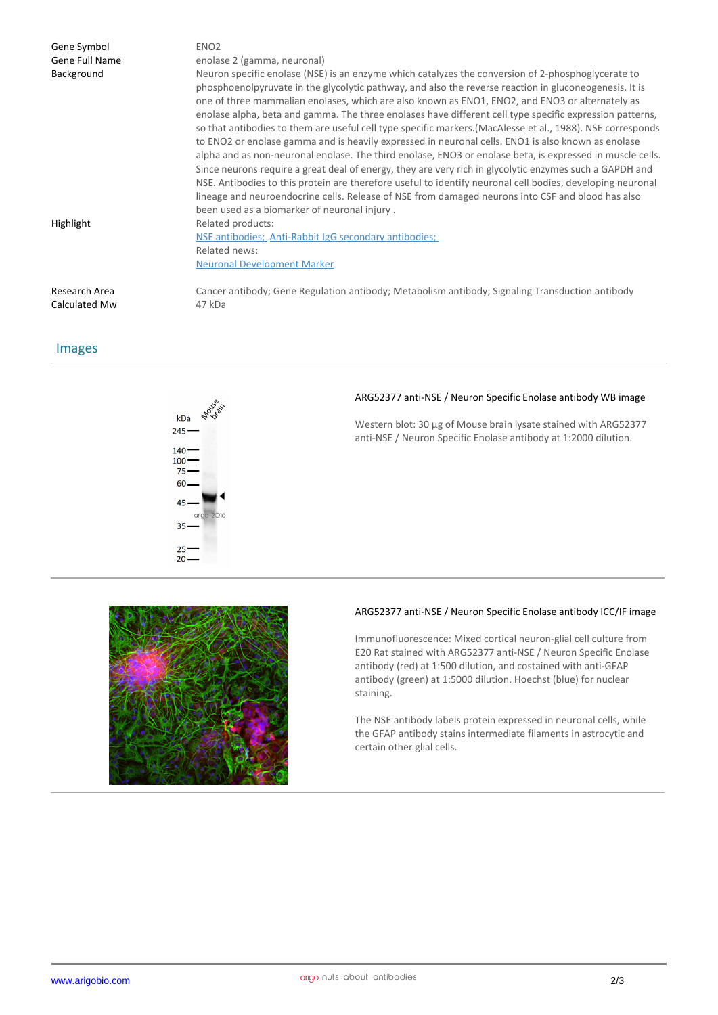| Gene Symbol                    | ENO <sub>2</sub>                                                                                                                                                                                                                                                                                                                                                                                                                                                                                                                                                                                                                                                                                                                                                                                                                                                                                                                                                                                                                                                                                                                            |
|--------------------------------|---------------------------------------------------------------------------------------------------------------------------------------------------------------------------------------------------------------------------------------------------------------------------------------------------------------------------------------------------------------------------------------------------------------------------------------------------------------------------------------------------------------------------------------------------------------------------------------------------------------------------------------------------------------------------------------------------------------------------------------------------------------------------------------------------------------------------------------------------------------------------------------------------------------------------------------------------------------------------------------------------------------------------------------------------------------------------------------------------------------------------------------------|
| Gene Full Name                 | enolase 2 (gamma, neuronal)                                                                                                                                                                                                                                                                                                                                                                                                                                                                                                                                                                                                                                                                                                                                                                                                                                                                                                                                                                                                                                                                                                                 |
| Background                     | Neuron specific enolase (NSE) is an enzyme which catalyzes the conversion of 2-phosphoglycerate to<br>phosphoenolpyruvate in the glycolytic pathway, and also the reverse reaction in gluconeogenesis. It is<br>one of three mammalian enolases, which are also known as ENO1, ENO2, and ENO3 or alternately as<br>enolase alpha, beta and gamma. The three enolases have different cell type specific expression patterns,<br>so that antibodies to them are useful cell type specific markers. (MacAlesse et al., 1988). NSE corresponds<br>to ENO2 or enolase gamma and is heavily expressed in neuronal cells. ENO1 is also known as enolase<br>alpha and as non-neuronal enolase. The third enolase, ENO3 or enolase beta, is expressed in muscle cells.<br>Since neurons require a great deal of energy, they are very rich in glycolytic enzymes such a GAPDH and<br>NSE. Antibodies to this protein are therefore useful to identify neuronal cell bodies, developing neuronal<br>lineage and neuroendocrine cells. Release of NSE from damaged neurons into CSF and blood has also<br>been used as a biomarker of neuronal injury. |
| Highlight                      | Related products:                                                                                                                                                                                                                                                                                                                                                                                                                                                                                                                                                                                                                                                                                                                                                                                                                                                                                                                                                                                                                                                                                                                           |
|                                | NSE antibodies: Anti-Rabbit IgG secondary antibodies;                                                                                                                                                                                                                                                                                                                                                                                                                                                                                                                                                                                                                                                                                                                                                                                                                                                                                                                                                                                                                                                                                       |
|                                | Related news:                                                                                                                                                                                                                                                                                                                                                                                                                                                                                                                                                                                                                                                                                                                                                                                                                                                                                                                                                                                                                                                                                                                               |
|                                | <b>Neuronal Development Marker</b>                                                                                                                                                                                                                                                                                                                                                                                                                                                                                                                                                                                                                                                                                                                                                                                                                                                                                                                                                                                                                                                                                                          |
| Research Area<br>Calculated Mw | Cancer antibody; Gene Regulation antibody; Metabolism antibody; Signaling Transduction antibody<br>47 kDa                                                                                                                                                                                                                                                                                                                                                                                                                                                                                                                                                                                                                                                                                                                                                                                                                                                                                                                                                                                                                                   |

### Images



#### **ARG52377 anti-NSE / Neuron Specific Enolase antibody WB image**

Western blot: 30 µg of Mouse brain lysate stained with ARG52377 anti-NSE / Neuron Specific Enolase antibody at 1:2000 dilution.



#### **ARG52377 anti-NSE / Neuron Specific Enolase antibody ICC/IF image**

Immunofluorescence: Mixed cortical neuron-glial cell culture from E20 Rat stained with ARG52377 anti-NSE / Neuron Specific Enolase antibody (red) at 1:500 dilution, and costained with anti-GFAP antibody (green) at 1:5000 dilution. Hoechst (blue) for nuclear staining.

The NSE antibody labels protein expressed in neuronal cells, while the GFAP antibody stains intermediate filaments in astrocytic and certain other glial cells.